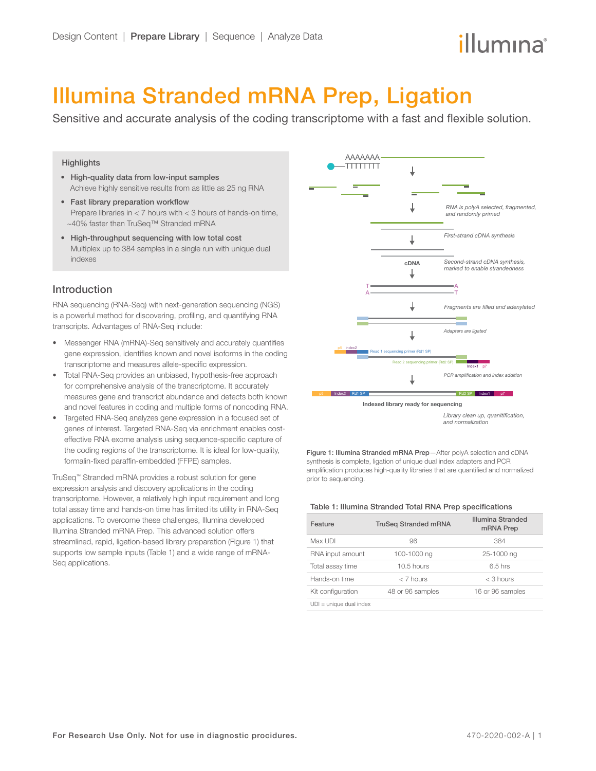# illumına

## Illumina Stranded mRNA Prep, Ligation

Sensitive and accurate analysis of the coding transcriptome with a fast and flexible solution.

#### **Highlights**

- High-quality data from low-input samples Achieve highly sensitive results from as little as 25 ng RNA
- Fast library preparation workflow Prepare libraries in < 7 hours with < 3 hours of hands-on time, ~40% faster than TruSeq™ Stranded mRNA
- High-throughput sequencing with low total cost Multiplex up to 384 samples in a single run with unique dual indexes

## Introduction

RNA sequencing (RNA-Seq) with next-generation sequencing (NGS) is a powerful method for discovering, profiling, and quantifying RNA transcripts. Advantages of RNA-Seq include:

- Messenger RNA (mRNA)-Seq sensitively and accurately quantifies gene expression, identifies known and novel isoforms in the coding transcriptome and measures allele-specific expression.
- Total RNA-Seq provides an unbiased, hypothesis-free approach for comprehensive analysis of the transcriptome. It accurately measures gene and transcript abundance and detects both known and novel features in coding and multiple forms of noncoding RNA.
- Targeted RNA-Seq analyzes gene expression in a focused set of genes of interest. Targeted RNA-Seq via enrichment enables costeffective RNA exome analysis using sequence-specific capture of the coding regions of the transcriptome. It is ideal for low-quality, formalin-fixed paraffin-embedded (FFPE) samples.

TruSeq™ Stranded mRNA provides a robust solution for gene expression analysis and discovery applications in the coding transcriptome. However, a relatively high input requirement and long total assay time and hands-on time has limited its utility in RNA-Seq applications. To overcome these challenges, Illumina developed Illumina Stranded mRNA Prep. This advanced solution offers streamlined, rapid, ligation-based library preparation (Figure 1) that supports low sample inputs (Table 1) and a wide range of mRNA-Seq applications.



Figure 1: Illumina Stranded mRNA Prep—After polyA selection and cDNA synthesis is complete, ligation of unique dual index adapters and PCR amplification produces high-quality libraries that are quantified and normalized prior to sequencing.

#### Table 1: Illumina Stranded Total RNA Prep specifications

| Feature                   | <b>TruSeg Stranded mRNA</b> | Illumina Stranded<br>mRNA Prep |  |
|---------------------------|-----------------------------|--------------------------------|--|
| Max UDI                   | 96                          | 384                            |  |
| RNA input amount          | 100-1000 ng                 | 25-1000 ng                     |  |
| Total assay time          | 10.5 hours                  | $6.5$ hrs                      |  |
| Hands-on time             | $< 7$ hours                 | $<$ 3 hours                    |  |
| Kit configuration         | 48 or 96 samples            | 16 or 96 samples               |  |
| $UDI = unique dual index$ |                             |                                |  |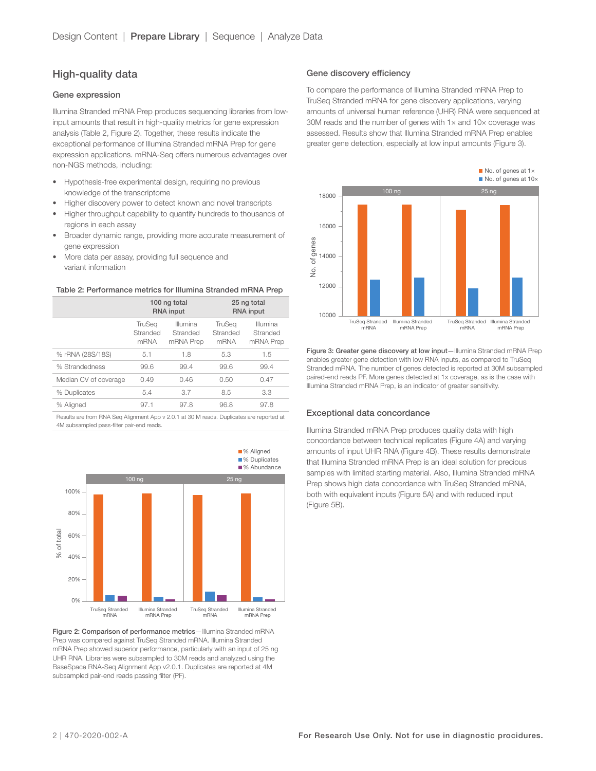## High-quality data

#### Gene expression

Illumina Stranded mRNA Prep produces sequencing libraries from lowinput amounts that result in high-quality metrics for gene expression analysis (Table 2, Figure 2). Together, these results indicate the exceptional performance of Illumina Stranded mRNA Prep for gene expression applications. mRNA-Seq offers numerous advantages over non-NGS methods, including:

- Hypothesis-free experimental design, requiring no previous knowledge of the transcriptome
- Higher discovery power to detect known and novel transcripts
- Higher throughput capability to quantify hundreds to thousands of regions in each assay
- Broader dynamic range, providing more accurate measurement of gene expression
- More data per assay, providing full sequence and variant information

#### Table 2: Performance metrics for Illumina Stranded mRNA Prep

|                       | 100 ng total<br><b>RNA</b> input         |                                   | 25 ng total<br><b>RNA</b> input          |                                   |
|-----------------------|------------------------------------------|-----------------------------------|------------------------------------------|-----------------------------------|
|                       | <b>TruSea</b><br>Stranded<br><b>mRNA</b> | Illumina<br>Stranded<br>mRNA Prep | <b>TruSea</b><br>Stranded<br><b>mRNA</b> | Illumina<br>Stranded<br>mRNA Prep |
| % rRNA (28S/18S)      | 5.1                                      | 1.8                               | 5.3                                      | 1.5                               |
| % Strandedness        | 99.6                                     | 99.4                              | 99.6                                     | 99.4                              |
| Median CV of coverage | 0.49                                     | 0.46                              | 0.50                                     | 0.47                              |
| % Duplicates          | 5.4                                      | 3.7                               | 8.5                                      | 3.3                               |
| % Aligned             | 97.1                                     | 97.8                              | 96.8                                     | 97.8                              |
|                       |                                          |                                   |                                          |                                   |

Results are from RNA Seq Alignment App v 2.0.1 at 30 M reads. Duplicates are reported at 4M subsampled pass-filter pair-end reads.



Figure 2: Comparison of performance metrics-Illumina Stranded mRNA Prep was compared against TruSeq Stranded mRNA. Illumina Stranded mRNA Prep showed superior performance, particularly with an input of 25 ng UHR RNA. Libraries were subsampled to 30M reads and analyzed using the BaseSpace RNA-Seq Alignment App v2.0.1. Duplicates are reported at 4M subsampled pair-end reads passing filter (PF).

#### Gene discovery efficiency

To compare the performance of Illumina Stranded mRNA Prep to TruSeq Stranded mRNA for gene discovery applications, varying amounts of universal human reference (UHR) RNA were sequenced at 30M reads and the number of genes with 1× and 10× coverage was assessed. Results show that Illumina Stranded mRNA Prep enables greater gene detection, especially at low input amounts (Figure 3).



Figure 3: Greater gene discovery at low input-Illumina Stranded mRNA Prep enables greater gene detection with low RNA inputs, as compared to TruSeq Stranded mRNA. The number of genes detected is reported at 30M subsampled paired-end reads PF. More genes detected at 1x coverage, as is the case with Illumina Stranded mRNA Prep, is an indicator of greater sensitivity.

#### Exceptional data concordance

Illumina Stranded mRNA Prep produces quality data with high concordance between technical replicates (Figure 4A) and varying amounts of input UHR RNA (Figure 4B). These results demonstrate that Illumina Stranded mRNA Prep is an ideal solution for precious samples with limited starting material. Also, Illumina Stranded mRNA Prep shows high data concordance with TruSeq Stranded mRNA, both with equivalent inputs (Figure 5A) and with reduced input (Figure 5B).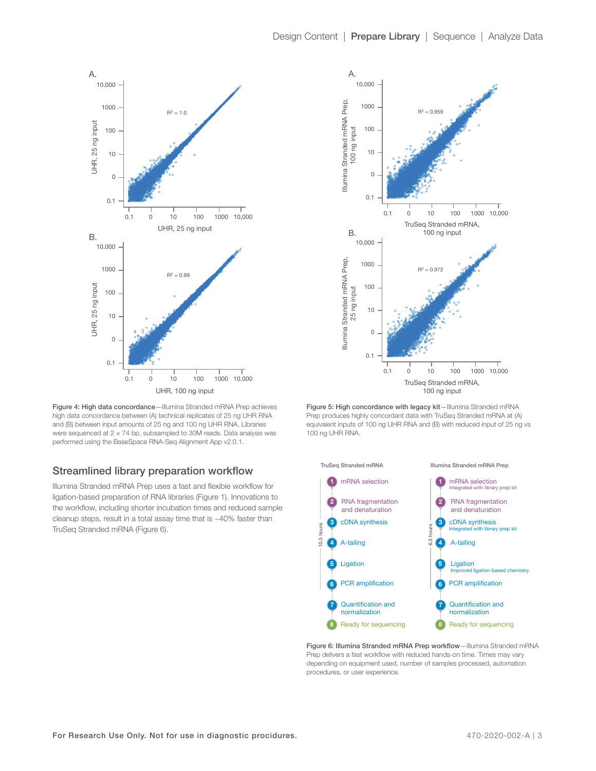

Figure 4: High data concordance—Illumina Stranded mRNA Prep achieves high data concordance between (A) technical replicates of 25 ng UHR RNA and (B) between input amounts of 25 ng and 100 ng UHR RNA. Libraries were sequenced at 2 × 74 bp, subsampled to 30M reads. Data analysis was performed using the BaseSpace RNA-Seq Alignment App v2.0.1.

## Streamlined library preparation workflow

Illumina Stranded mRNA Prep uses a fast and flexible workflow for ligation-based preparation of RNA libraries (Figure 1). Innovations to the workflow, including shorter incubation times and reduced sample cleanup steps, result in a total assay time that is ~40% faster than TruSeq Stranded mRNA (Figure 6).



Figure 5: High concordance with legacy kit-Illumina Stranded mRNA Prep produces highly concordant data with TruSeq Stranded mRNA at (A) equivalent inputs of 100 ng UHR RNA and (B) with reduced input of 25 ng vs 100 ng UHR RNA.



Figure 6: Illumina Stranded mRNA Prep workflow-Illumina Stranded mRNA Prep delivers a fast workflow with reduced hands-on time. Times may vary depending on equipment used, number of samples processed, automation procedures, or user experience.